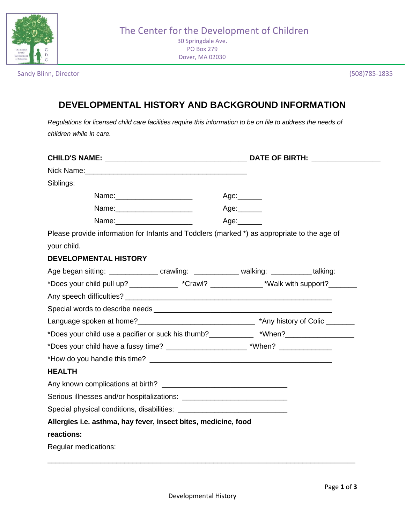

Dover, MA 02030

Sandy Blinn, Director (508)785-1835

## **DEVELOPMENTAL HISTORY AND BACKGROUND INFORMATION**

*Regulations for licensed child care facilities require this information to be on file to address the needs of children while in care.*

| Siblings:                                                                                   |             |
|---------------------------------------------------------------------------------------------|-------------|
|                                                                                             | Age:______  |
| Name: _______________________                                                               | Age:_______ |
| Name: ________________________                                                              | Age:______  |
| Please provide information for Infants and Toddlers (marked *) as appropriate to the age of |             |
| your child.                                                                                 |             |
| <b>DEVELOPMENTAL HISTORY</b>                                                                |             |
| Age began sitting: ________________ crawling: _____________ walking: ___________ talking:   |             |
| *Does your child pull up? ____________ *Crawl? ________________*Walk with support?_______   |             |
|                                                                                             |             |
|                                                                                             |             |
|                                                                                             |             |
| *Does your child use a pacifier or suck his thumb?___________ *When?_____________           |             |
| *Does your child have a fussy time? _________________________*When? ____________            |             |
|                                                                                             |             |
| <b>HEALTH</b>                                                                               |             |
|                                                                                             |             |
|                                                                                             |             |
|                                                                                             |             |
| Allergies i.e. asthma, hay fever, insect bites, medicine, food                              |             |
| reactions:                                                                                  |             |
| Regular medications:                                                                        |             |

\_\_\_\_\_\_\_\_\_\_\_\_\_\_\_\_\_\_\_\_\_\_\_\_\_\_\_\_\_\_\_\_\_\_\_\_\_\_\_\_\_\_\_\_\_\_\_\_\_\_\_\_\_\_\_\_\_\_\_\_\_\_\_\_\_\_\_\_\_\_\_\_\_\_\_\_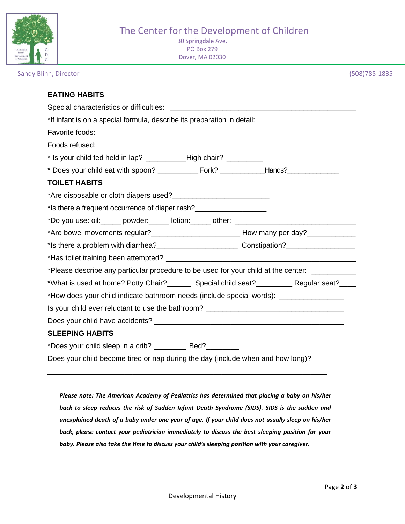

30 Springdale Ave. PO Box 279 Dover, MA 02030

Sandy Blinn, Director (508)785-1835

| *If infant is on a special formula, describe its preparation in detail:                         |  |
|-------------------------------------------------------------------------------------------------|--|
| Favorite foods:                                                                                 |  |
| Foods refused:                                                                                  |  |
| * Is your child fed held in lap? ______________High chair? ___________                          |  |
|                                                                                                 |  |
| <b>TOILET HABITS</b>                                                                            |  |
|                                                                                                 |  |
| *Is there a frequent occurrence of diaper rash?                                                 |  |
| *Do you use: oil: _____ powder: _____ lotion: _____ other: ______________________               |  |
|                                                                                                 |  |
|                                                                                                 |  |
|                                                                                                 |  |
| *Please describe any particular procedure to be used for your child at the center: ____________ |  |
| *What is used at home? Potty Chair?_________ Special child seat?____________ Regular seat?_____ |  |
| *How does your child indicate bathroom needs (include special words): _________________         |  |
| Is your child ever reluctant to use the bathroom? ______________________________                |  |
|                                                                                                 |  |
| <b>SLEEPING HABITS</b>                                                                          |  |
| *Does your child sleep in a crib? ___________ Bed? ________                                     |  |
| Does your child become tired or nap during the day (include when and how long)?                 |  |

*Please note: The American Academy of Pediatrics has determined that placing a baby on his/her back to sleep reduces the risk of Sudden Infant Death Syndrome (SIDS). SIDS is the sudden and unexplained death of a baby under one year of age. If your child does not usually sleep on his/her back, please contact your pediatrician immediately to discuss the best sleeping position for your baby. Please also take the time to discuss your child's sleeping position with your caregiver.*

\_\_\_\_\_\_\_\_\_\_\_\_\_\_\_\_\_\_\_\_\_\_\_\_\_\_\_\_\_\_\_\_\_\_\_\_\_\_\_\_\_\_\_\_\_\_\_\_\_\_\_\_\_\_\_\_\_\_\_\_\_\_\_\_\_\_\_\_\_